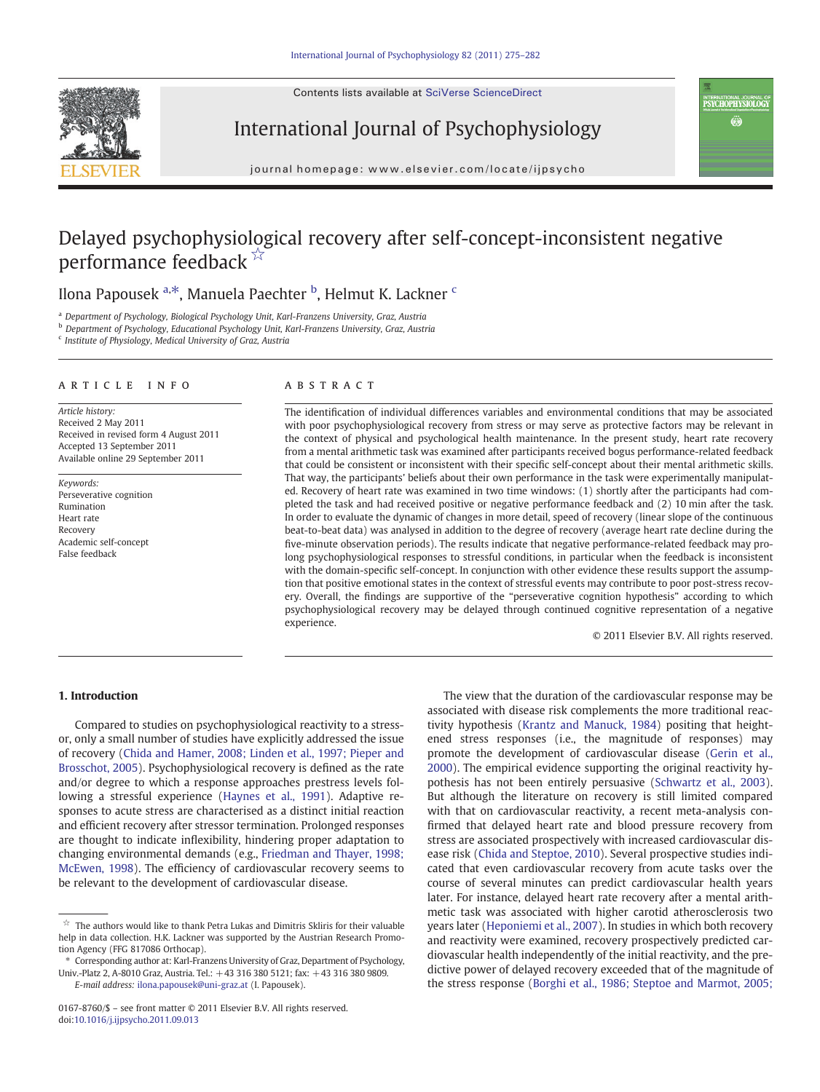Contents lists available at SciVerse ScienceDirect



International Journal of Psychophysiology



journal homepage: www.elsevier.com/locate/ijpsycho

# Delayed psychophysiological recovery after self-concept-inconsistent negative performance feedback  $\overrightarrow{ }$  ☆

## Ilona Papousek <sup>a,\*</sup>, Manuela Paechter <sup>b</sup>, Helmut K. Lackner <sup>c</sup>

<sup>a</sup> Department of Psychology, Biological Psychology Unit, Karl-Franzens University, Graz, Austria

<sup>b</sup> Department of Psychology, Educational Psychology Unit, Karl-Franzens University, Graz, Austria

<sup>c</sup> Institute of Physiology, Medical University of Graz, Austria

### article info abstract

Article history: Received 2 May 2011 Received in revised form 4 August 2011 Accepted 13 September 2011 Available online 29 September 2011

Keywords: Perseverative cognition Rumination Heart rate Recovery Academic self-concept False feedback

The identification of individual differences variables and environmental conditions that may be associated with poor psychophysiological recovery from stress or may serve as protective factors may be relevant in the context of physical and psychological health maintenance. In the present study, heart rate recovery from a mental arithmetic task was examined after participants received bogus performance-related feedback that could be consistent or inconsistent with their specific self-concept about their mental arithmetic skills. That way, the participants' beliefs about their own performance in the task were experimentally manipulated. Recovery of heart rate was examined in two time windows: (1) shortly after the participants had completed the task and had received positive or negative performance feedback and (2) 10 min after the task. In order to evaluate the dynamic of changes in more detail, speed of recovery (linear slope of the continuous beat-to-beat data) was analysed in addition to the degree of recovery (average heart rate decline during the five-minute observation periods). The results indicate that negative performance-related feedback may prolong psychophysiological responses to stressful conditions, in particular when the feedback is inconsistent with the domain-specific self-concept. In conjunction with other evidence these results support the assumption that positive emotional states in the context of stressful events may contribute to poor post-stress recovery. Overall, the findings are supportive of the "perseverative cognition hypothesis" according to which psychophysiological recovery may be delayed through continued cognitive representation of a negative experience.

© 2011 Elsevier B.V. All rights reserved.

### 1. Introduction

Compared to studies on psychophysiological reactivity to a stressor, only a small number of studies have explicitly addressed the issue of recovery ([Chida and Hamer, 2008; Linden et al., 1997; Pieper and](#page--1-0) [Brosschot, 2005](#page--1-0)). Psychophysiological recovery is defined as the rate and/or degree to which a response approaches prestress levels following a stressful experience [\(Haynes et al., 1991\)](#page--1-0). Adaptive responses to acute stress are characterised as a distinct initial reaction and efficient recovery after stressor termination. Prolonged responses are thought to indicate inflexibility, hindering proper adaptation to changing environmental demands (e.g., [Friedman and Thayer, 1998;](#page--1-0) [McEwen, 1998](#page--1-0)). The efficiency of cardiovascular recovery seems to be relevant to the development of cardiovascular disease.

The view that the duration of the cardiovascular response may be associated with disease risk complements the more traditional reactivity hypothesis ([Krantz and Manuck, 1984\)](#page--1-0) positing that heightened stress responses (i.e., the magnitude of responses) may promote the development of cardiovascular disease [\(Gerin et al.,](#page--1-0) [2000\)](#page--1-0). The empirical evidence supporting the original reactivity hypothesis has not been entirely persuasive [\(Schwartz et al., 2003](#page--1-0)). But although the literature on recovery is still limited compared with that on cardiovascular reactivity, a recent meta-analysis confirmed that delayed heart rate and blood pressure recovery from stress are associated prospectively with increased cardiovascular disease risk ([Chida and Steptoe, 2010\)](#page--1-0). Several prospective studies indicated that even cardiovascular recovery from acute tasks over the course of several minutes can predict cardiovascular health years later. For instance, delayed heart rate recovery after a mental arithmetic task was associated with higher carotid atherosclerosis two years later ([Heponiemi et al., 2007](#page--1-0)). In studies in which both recovery and reactivity were examined, recovery prospectively predicted cardiovascular health independently of the initial reactivity, and the predictive power of delayed recovery exceeded that of the magnitude of the stress response [\(Borghi et al., 1986; Steptoe and Marmot, 2005;](#page--1-0)

 $\overleftrightarrow{\mathbf{r}}$  The authors would like to thank Petra Lukas and Dimitris Skliris for their valuable help in data collection. H.K. Lackner was supported by the Austrian Research Promotion Agency (FFG 817086 Orthocap).

<sup>⁎</sup> Corresponding author at: Karl-Franzens University of Graz, Department of Psychology, Univ.-Platz 2, A-8010 Graz, Austria. Tel.: +43 316 380 5121; fax: +43 316 380 9809. E-mail address: [ilona.papousek@uni-graz.at](mailto:ilona.papousek@uni-graz.at) (I. Papousek).

<sup>0167-8760/\$</sup> – see front matter © 2011 Elsevier B.V. All rights reserved. doi:[10.1016/j.ijpsycho.2011.09.013](http://dx.doi.org/10.1016/j.ijpsycho.2011.09.013)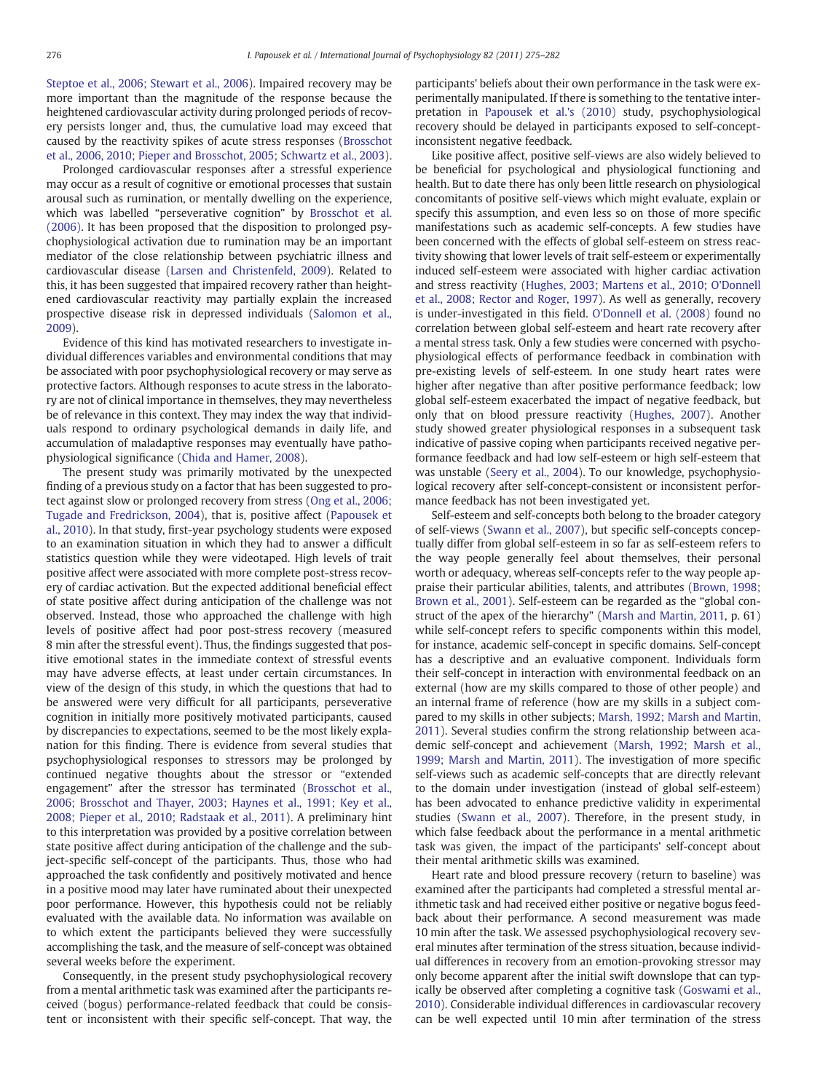[Steptoe et al., 2006; Stewart et al., 2006](#page--1-0)). Impaired recovery may be more important than the magnitude of the response because the heightened cardiovascular activity during prolonged periods of recovery persists longer and, thus, the cumulative load may exceed that caused by the reactivity spikes of acute stress responses ([Brosschot](#page--1-0) [et al., 2006, 2010; Pieper and Brosschot, 2005; Schwartz et al., 2003](#page--1-0)).

Prolonged cardiovascular responses after a stressful experience may occur as a result of cognitive or emotional processes that sustain arousal such as rumination, or mentally dwelling on the experience, which was labelled "perseverative cognition" by [Brosschot et al.](#page--1-0) [\(2006\).](#page--1-0) It has been proposed that the disposition to prolonged psychophysiological activation due to rumination may be an important mediator of the close relationship between psychiatric illness and cardiovascular disease ([Larsen and Christenfeld, 2009](#page--1-0)). Related to this, it has been suggested that impaired recovery rather than heightened cardiovascular reactivity may partially explain the increased prospective disease risk in depressed individuals ([Salomon et al.,](#page--1-0) [2009\)](#page--1-0).

Evidence of this kind has motivated researchers to investigate individual differences variables and environmental conditions that may be associated with poor psychophysiological recovery or may serve as protective factors. Although responses to acute stress in the laboratory are not of clinical importance in themselves, they may nevertheless be of relevance in this context. They may index the way that individuals respond to ordinary psychological demands in daily life, and accumulation of maladaptive responses may eventually have pathophysiological significance [\(Chida and Hamer, 2008](#page--1-0)).

The present study was primarily motivated by the unexpected finding of a previous study on a factor that has been suggested to protect against slow or prolonged recovery from stress ([Ong et al., 2006;](#page--1-0) [Tugade and Fredrickson, 2004](#page--1-0)), that is, positive affect [\(Papousek et](#page--1-0) [al., 2010](#page--1-0)). In that study, first-year psychology students were exposed to an examination situation in which they had to answer a difficult statistics question while they were videotaped. High levels of trait positive affect were associated with more complete post-stress recovery of cardiac activation. But the expected additional beneficial effect of state positive affect during anticipation of the challenge was not observed. Instead, those who approached the challenge with high levels of positive affect had poor post-stress recovery (measured 8 min after the stressful event). Thus, the findings suggested that positive emotional states in the immediate context of stressful events may have adverse effects, at least under certain circumstances. In view of the design of this study, in which the questions that had to be answered were very difficult for all participants, perseverative cognition in initially more positively motivated participants, caused by discrepancies to expectations, seemed to be the most likely explanation for this finding. There is evidence from several studies that psychophysiological responses to stressors may be prolonged by continued negative thoughts about the stressor or "extended engagement" after the stressor has terminated [\(Brosschot et al.,](#page--1-0) [2006; Brosschot and Thayer, 2003; Haynes et al., 1991; Key et al.,](#page--1-0) [2008; Pieper et al., 2010; Radstaak et al., 2011\)](#page--1-0). A preliminary hint to this interpretation was provided by a positive correlation between state positive affect during anticipation of the challenge and the subject-specific self-concept of the participants. Thus, those who had approached the task confidently and positively motivated and hence in a positive mood may later have ruminated about their unexpected poor performance. However, this hypothesis could not be reliably evaluated with the available data. No information was available on to which extent the participants believed they were successfully accomplishing the task, and the measure of self-concept was obtained several weeks before the experiment.

Consequently, in the present study psychophysiological recovery from a mental arithmetic task was examined after the participants received (bogus) performance-related feedback that could be consistent or inconsistent with their specific self-concept. That way, the participants' beliefs about their own performance in the task were experimentally manipulated. If there is something to the tentative interpretation in [Papousek et al.'s \(2010\)](#page--1-0) study, psychophysiological recovery should be delayed in participants exposed to self-conceptinconsistent negative feedback.

Like positive affect, positive self-views are also widely believed to be beneficial for psychological and physiological functioning and health. But to date there has only been little research on physiological concomitants of positive self-views which might evaluate, explain or specify this assumption, and even less so on those of more specific manifestations such as academic self-concepts. A few studies have been concerned with the effects of global self-esteem on stress reactivity showing that lower levels of trait self-esteem or experimentally induced self-esteem were associated with higher cardiac activation and stress reactivity [\(Hughes, 2003; Martens et al., 2010; O'Donnell](#page--1-0) [et al., 2008; Rector and Roger, 1997\)](#page--1-0). As well as generally, recovery is under-investigated in this field. [O'Donnell et al. \(2008\)](#page--1-0) found no correlation between global self-esteem and heart rate recovery after a mental stress task. Only a few studies were concerned with psychophysiological effects of performance feedback in combination with pre-existing levels of self-esteem. In one study heart rates were higher after negative than after positive performance feedback; low global self-esteem exacerbated the impact of negative feedback, but only that on blood pressure reactivity ([Hughes, 2007\)](#page--1-0). Another study showed greater physiological responses in a subsequent task indicative of passive coping when participants received negative performance feedback and had low self-esteem or high self-esteem that was unstable [\(Seery et al., 2004](#page--1-0)). To our knowledge, psychophysiological recovery after self-concept-consistent or inconsistent performance feedback has not been investigated yet.

Self-esteem and self-concepts both belong to the broader category of self-views [\(Swann et al., 2007\)](#page--1-0), but specific self-concepts conceptually differ from global self-esteem in so far as self-esteem refers to the way people generally feel about themselves, their personal worth or adequacy, whereas self-concepts refer to the way people appraise their particular abilities, talents, and attributes [\(Brown, 1998;](#page--1-0) [Brown et al., 2001\)](#page--1-0). Self-esteem can be regarded as the "global construct of the apex of the hierarchy" ([Marsh and Martin, 2011,](#page--1-0) p. 61) while self-concept refers to specific components within this model, for instance, academic self-concept in specific domains. Self-concept has a descriptive and an evaluative component. Individuals form their self-concept in interaction with environmental feedback on an external (how are my skills compared to those of other people) and an internal frame of reference (how are my skills in a subject compared to my skills in other subjects; [Marsh, 1992; Marsh and Martin,](#page--1-0) [2011\)](#page--1-0). Several studies confirm the strong relationship between academic self-concept and achievement [\(Marsh, 1992; Marsh et al.,](#page--1-0) [1999; Marsh and Martin, 2011](#page--1-0)). The investigation of more specific self-views such as academic self-concepts that are directly relevant to the domain under investigation (instead of global self-esteem) has been advocated to enhance predictive validity in experimental studies [\(Swann et al., 2007\)](#page--1-0). Therefore, in the present study, in which false feedback about the performance in a mental arithmetic task was given, the impact of the participants' self-concept about their mental arithmetic skills was examined.

Heart rate and blood pressure recovery (return to baseline) was examined after the participants had completed a stressful mental arithmetic task and had received either positive or negative bogus feedback about their performance. A second measurement was made 10 min after the task. We assessed psychophysiological recovery several minutes after termination of the stress situation, because individual differences in recovery from an emotion-provoking stressor may only become apparent after the initial swift downslope that can typically be observed after completing a cognitive task ([Goswami et al.,](#page--1-0) [2010\)](#page--1-0). Considerable individual differences in cardiovascular recovery can be well expected until 10 min after termination of the stress